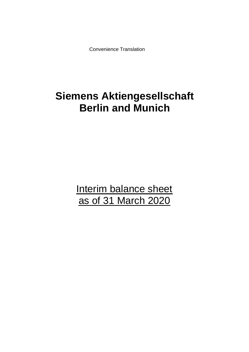Convenience Translation

# **Siemens Aktiengesellschaft Berlin and Munich**

Interim balance sheet as of 31 March 2020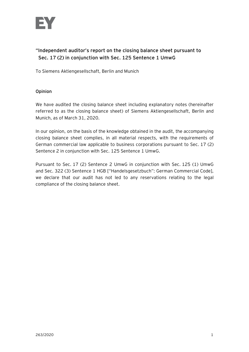

# **"Independent auditor's report on the closing balance sheet pursuant to Sec. 17 (2) in conjunction with Sec. 125 Sentence 1 UmwG**

To Siemens Aktiengesellschaft, Berlin and Munich

# **Opinion**

We have audited the closing balance sheet including explanatory notes (hereinafter referred to as the closing balance sheet) of Siemens Aktiengesellschaft, Berlin and Munich, as of March 31, 2020.

In our opinion, on the basis of the knowledge obtained in the audit, the accompanying closing balance sheet complies, in all material respects, with the requirements of German commercial law applicable to business corporations pursuant to Sec. 17 (2) Sentence 2 in conjunction with Sec. 125 Sentence 1 UmwG.

Pursuant to Sec. 17 (2) Sentence 2 UmwG in conjunction with Sec. 125 (1) UmwG and Sec. 322 (3) Sentence 1 HGB ["Handelsgesetzbuch": German Commercial Code], we declare that our audit has not led to any reservations relating to the legal compliance of the closing balance sheet.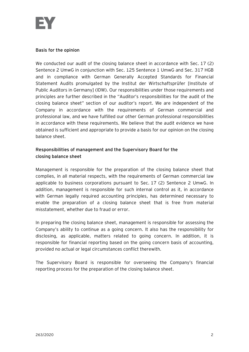

# **Basis for the opinion**

We conducted our audit of the closing balance sheet in accordance with Sec. 17 (2) Sentence 2 UmwG in conjunction with Sec. 125 Sentence 1 UmwG and Sec. 317 HGB and in compliance with German Generally Accepted Standards for Financial Statement Audits promulgated by the Institut der Wirtschaftsprüfer [Institute of Public Auditors in Germany] (IDW). Our responsibilities under those requirements and principles are further described in the "Auditor's responsibilities for the audit of the closing balance sheet" section of our auditor's report. We are independent of the Company in accordance with the requirements of German commercial and professional law, and we have fulfilled our other German professional responsibilities in accordance with these requirements. We believe that the audit evidence we have obtained is sufficient and appropriate to provide a basis for our opinion on the closing balance sheet.

# **Responsibilities of management and the Supervisory Board for the closing balance sheet**

Management is responsible for the preparation of the closing balance sheet that complies, in all material respects, with the requirements of German commercial law applicable to business corporations pursuant to Sec. 17 (2) Sentence 2 UmwG. In addition, management is responsible for such internal control as it, in accordance with German legally required accounting principles, has determined necessary to enable the preparation of a closing balance sheet that is free from material misstatement, whether due to fraud or error.

In preparing the closing balance sheet, management is responsible for assessing the Company's ability to continue as a going concern. It also has the responsibility for disclosing, as applicable, matters related to going concern. In addition, it is responsible for financial reporting based on the going concern basis of accounting, provided no actual or legal circumstances conflict therewith.

The Supervisory Board is responsible for overseeing the Company's financial reporting process for the preparation of the closing balance sheet.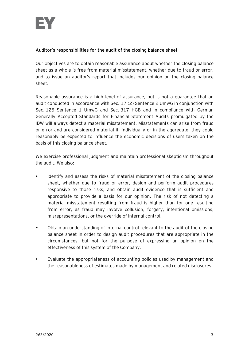# **Auditor's responsibilities for the audit of the closing balance sheet**

Our objectives are to obtain reasonable assurance about whether the closing balance sheet as a whole is free from material misstatement, whether due to fraud or error, and to issue an auditor's report that includes our opinion on the closing balance sheet.

Reasonable assurance is a high level of assurance, but is not a guarantee that an audit conducted in accordance with Sec. 17 (2) Sentence 2 UmwG in conjunction with Sec. 125 Sentence 1 UmwG and Sec. 317 HGB and in compliance with German Generally Accepted Standards for Financial Statement Audits promulgated by the IDW will always detect a material misstatement. Misstatements can arise from fraud or error and are considered material if, individually or in the aggregate, they could reasonably be expected to influence the economic decisions of users taken on the basis of this closing balance sheet.

We exercise professional judgment and maintain professional skepticism throughout the audit. We also:

- Identify and assess the risks of material misstatement of the closing balance sheet, whether due to fraud or error, design and perform audit procedures responsive to those risks, and obtain audit evidence that is sufficient and appropriate to provide a basis for our opinion. The risk of not detecting a material misstatement resulting from fraud is higher than for one resulting from error, as fraud may involve collusion, forgery, intentional omissions, misrepresentations, or the override of internal control.
- Obtain an understanding of internal control relevant to the audit of the closing balance sheet in order to design audit procedures that are appropriate in the circumstances, but not for the purpose of expressing an opinion on the effectiveness of this system of the Company.
- Evaluate the appropriateness of accounting policies used by management and the reasonableness of estimates made by management and related disclosures.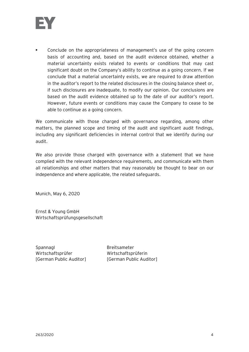

• Conclude on the appropriateness of management's use of the going concern basis of accounting and, based on the audit evidence obtained, whether a material uncertainty exists related to events or conditions that may cast significant doubt on the Company's ability to continue as a going concern. If we conclude that a material uncertainty exists, we are required to draw attention in the auditor's report to the related disclosures in the closing balance sheet or, if such disclosures are inadequate, to modify our opinion. Our conclusions are based on the audit evidence obtained up to the date of our auditor's report. However, future events or conditions may cause the Company to cease to be able to continue as a going concern.

We communicate with those charged with governance regarding, among other matters, the planned scope and timing of the audit and significant audit findings, including any significant deficiencies in internal control that we identify during our audit.

We also provide those charged with governance with a statement that we have complied with the relevant independence requirements, and communicate with them all relationships and other matters that may reasonably be thought to bear on our independence and where applicable, the related safeguards.

Munich, May 6, 2020

Ernst & Young GmbH Wirtschaftsprüfungsgesellschaft

Spannagl Breitsameter Wirtschaftsprüfer Wirtschaftsprüferin

[German Public Auditor] [German Public Auditor]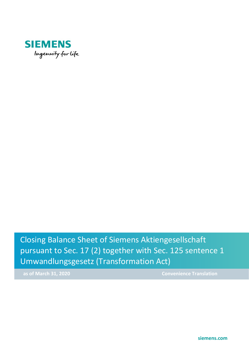

Closing Balance Sheet of Siemens Aktiengesellschaft pursuant to Sec. 17 (2) together with Sec. 125 sentence 1 Umwandlungsgesetz (Transformation Act)

**as of March 31, 2020** Convenience Translation

**siemens.com**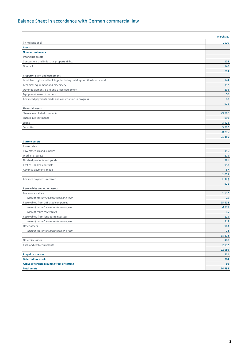### Balance Sheet in accordance with German commercial law

|                                                                          | March 31, |
|--------------------------------------------------------------------------|-----------|
| (in millions of $\epsilon$ )                                             | 2020      |
| <b>Assets</b>                                                            |           |
| <b>Non-current assets</b>                                                |           |
| Intangible assets                                                        |           |
| Concessions and industrial property rights                               | 104       |
| Goodwill                                                                 | 140       |
|                                                                          | 244       |
| Property, plant and equipment                                            |           |
| Land, land rights and buildings, including buildings on third-party land | 144       |
| Technical equipment and machinery                                        | 317       |
| Other equipment, plant and office equipment                              | 298       |
| Equipment leased to others                                               | 70        |
| Advanced payments made and construction in progress                      | 88        |
|                                                                          | 916       |
| <b>Financial assets</b>                                                  |           |
| Shares in affiliated companies                                           | 79,967    |
| Shares in investments                                                    | 999       |
| Loans                                                                    | 3,428     |
| Securities                                                               | 5,902     |
|                                                                          | 90,296    |
|                                                                          | 91,456    |
| <b>Current assets</b>                                                    |           |
| Inventories                                                              |           |
| Raw materials and supplies                                               | 456       |
| Work in progress                                                         | 275       |
| Finished products and goods                                              | 281       |
| Cost of unbilled contracts                                               | 958       |
| Advance payments made                                                    | 87        |
|                                                                          | 2,058     |
| Advance payments received                                                | (1,086)   |
|                                                                          | 971       |
| Receivables and other assets                                             |           |
| Trade receivables                                                        | 1,532     |
| thereof maturities more than one year                                    | 78        |
| Receivables from affiliated companies                                    | 15,604    |
| thereof maturities more than one year                                    | 4,739     |
| thereof trade receivables                                                | 15        |
| Receivables from long-term investees                                     | 115       |
| thereof maturities more than one year                                    | 113       |
| Other assets                                                             | 963       |
| thereof maturities more than one year                                    | 14        |
|                                                                          | 18,214    |
| Other Securities                                                         | 408       |
| Cash and cash equivalents                                                | 2,992     |
|                                                                          | 22,586    |
| <b>Prepaid expenses</b>                                                  | 111       |
| <b>Deferred tax assets</b>                                               | 784       |
| <b>Active difference resulting from offsetting</b>                       | 60        |
| <b>Total assets</b>                                                      | 114,998   |
|                                                                          |           |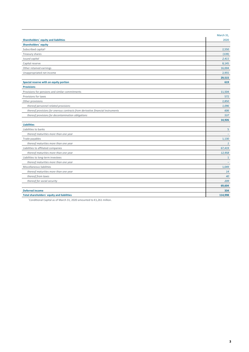|                                                                                | March 31,                |
|--------------------------------------------------------------------------------|--------------------------|
| Shareholders' equity and liabilities                                           | 2020                     |
| Shareholders' equity                                                           |                          |
| Subscribed capital <sup>1</sup>                                                | 2,550                    |
| Treasury shares                                                                | (139)                    |
| Issued capital                                                                 | 2,411                    |
| Capital reserve                                                                | 8,145                    |
| Other retained earnings                                                        | 16,004                   |
| Unappropriated net income                                                      | 2,955                    |
|                                                                                | 29,515                   |
| Special reserve with an equity portion                                         | 619                      |
| <b>Provisions</b>                                                              |                          |
| Provisions for pensions and similar commitments                                | 11,504                   |
| Provisions for taxes                                                           | 572                      |
| Other provisions                                                               | 2,850                    |
| thereof personnel-related provisions                                           | 1,096                    |
| thereof provisions for onerous contracts from derivative financial instruments | 606                      |
| thereof provisions for decontamination obligations                             | 537                      |
|                                                                                | 14,926                   |
| <b>Liabilities</b>                                                             |                          |
| Liabilities to banks                                                           | 5                        |
| thereof maturities more than one year                                          |                          |
| Trade payables                                                                 | 1,130                    |
| thereof maturities more than one year                                          | $\mathbf{1}$             |
| Liabilities to affiliated companies                                            | 67,419                   |
| thereof maturities more than one year                                          | 12,958                   |
| Liabilities to long-term investees                                             | $\mathbf{1}$             |
| thereof maturities more than one year                                          | $\overline{\phantom{0}}$ |
| Miscellaneous liabilities                                                      | 1,049                    |
| thereof maturities more than one year                                          | 14                       |
| thereof from taxes                                                             | 40                       |
| thereof for social security                                                    | 209                      |
|                                                                                | 69,604                   |
| <b>Deferred income</b>                                                         | 334                      |
| Total shareholders' equity and liabilities                                     | 114,998                  |

'Conditional Capital as of March 31, 2020 amounted to  $£1,261$  million.